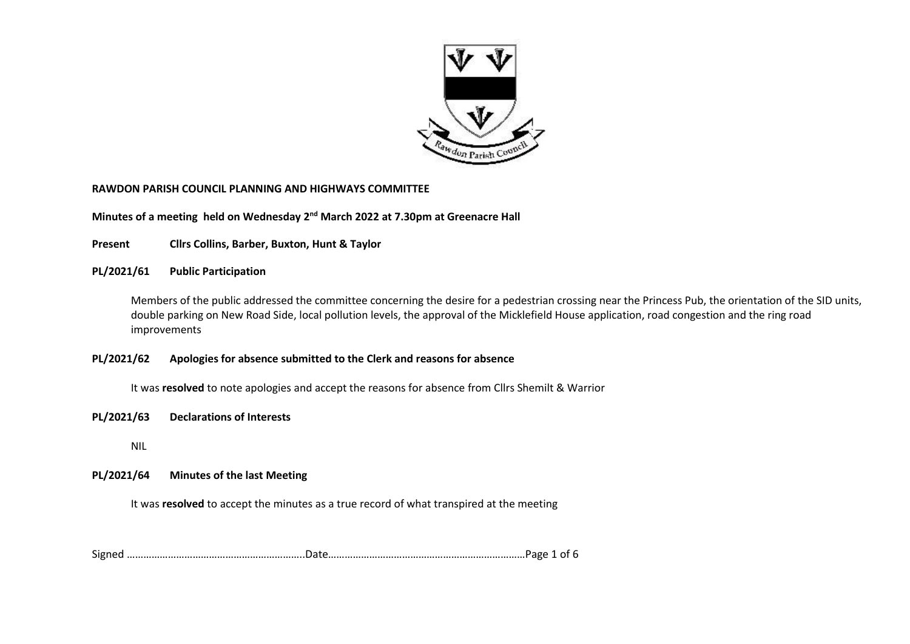

#### **RAWDON PARISH COUNCIL PLANNING AND HIGHWAYS COMMITTEE**

**Minutes of a meeting held on Wednesday 2<sup>nd</sup> March 2022 at 7.30pm at Greenacre Hall** 

**Present Cllrs Collins, Barber, Buxton, Hunt & Taylor**

**PL/2021/61 Public Participation** 

Members of the public addressed the committee concerning the desire for a pedestrian crossing near the Princess Pub, the orientation of the SID units, double parking on New Road Side, local pollution levels, the approval of the Micklefield House application, road congestion and the ring road improvements

### **PL/2021/62 Apologies for absence submitted to the Clerk and reasons for absence**

It was **resolved** to note apologies and accept the reasons for absence from Cllrs Shemilt & Warrior

#### **PL/2021/63 Declarations of Interests**

NIL

### **PL/2021/64 Minutes of the last Meeting**

It was **resolved** to accept the minutes as a true record of what transpired at the meeting

Signed ………………………………………………………..Date………………………………………………………………Page 1 of 6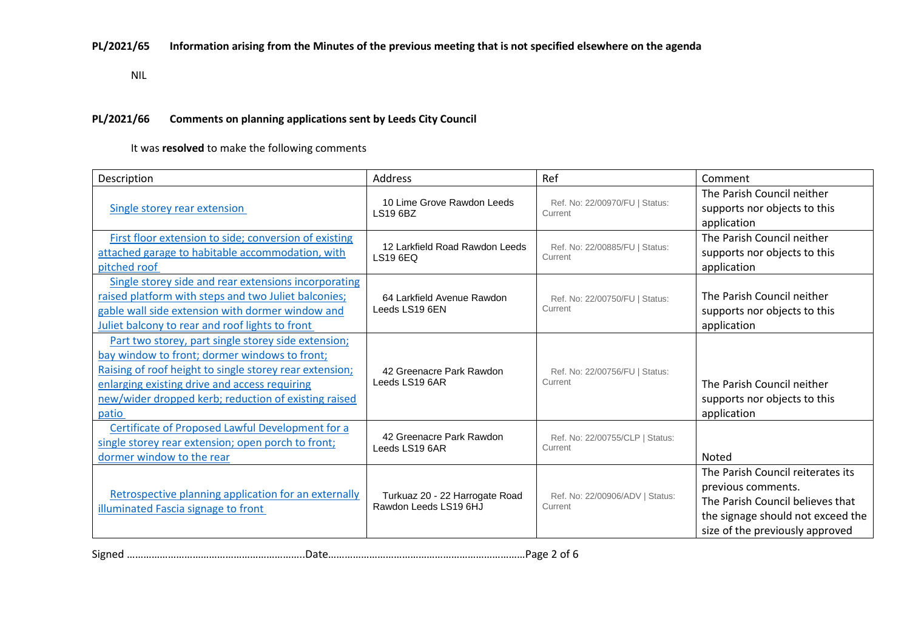## **PL/2021/65 Information arising from the Minutes of the previous meeting that is not specified elsewhere on the agenda**

NIL

### **PL/2021/66 Comments on planning applications sent by Leeds City Council**

It was **resolved** to make the following comments

| Description                                                                                                                                                                                                                                                                       | <b>Address</b>                                          | Ref                                        | Comment                                                                                                                                                             |
|-----------------------------------------------------------------------------------------------------------------------------------------------------------------------------------------------------------------------------------------------------------------------------------|---------------------------------------------------------|--------------------------------------------|---------------------------------------------------------------------------------------------------------------------------------------------------------------------|
| Single storey rear extension                                                                                                                                                                                                                                                      | 10 Lime Grove Rawdon Leeds<br>LS19 6BZ                  | Ref. No: 22/00970/FU   Status:<br>Current  | The Parish Council neither<br>supports nor objects to this<br>application                                                                                           |
| First floor extension to side; conversion of existing<br>attached garage to habitable accommodation, with<br>pitched roof                                                                                                                                                         | 12 Larkfield Road Rawdon Leeds<br>LS19 6EQ              | Ref. No: 22/00885/FU   Status:<br>Current  | The Parish Council neither<br>supports nor objects to this<br>application                                                                                           |
| Single storey side and rear extensions incorporating<br>raised platform with steps and two Juliet balconies;<br>gable wall side extension with dormer window and<br>Juliet balcony to rear and roof lights to front                                                               | 64 Larkfield Avenue Rawdon<br>Leeds LS19 6EN            | Ref. No: 22/00750/FU   Status:<br>Current  | The Parish Council neither<br>supports nor objects to this<br>application                                                                                           |
| Part two storey, part single storey side extension;<br>bay window to front; dormer windows to front;<br>Raising of roof height to single storey rear extension;<br>enlarging existing drive and access requiring<br>new/wider dropped kerb; reduction of existing raised<br>patio | 42 Greenacre Park Rawdon<br>Leeds LS19 6AR              | Ref. No: 22/00756/FU   Status:<br>Current  | The Parish Council neither<br>supports nor objects to this<br>application                                                                                           |
| Certificate of Proposed Lawful Development for a<br>single storey rear extension; open porch to front;<br>dormer window to the rear                                                                                                                                               | 42 Greenacre Park Rawdon<br>Leeds LS19 6AR              | Ref. No: 22/00755/CLP   Status:<br>Current | Noted                                                                                                                                                               |
| Retrospective planning application for an externally<br>illuminated Fascia signage to front                                                                                                                                                                                       | Turkuaz 20 - 22 Harrogate Road<br>Rawdon Leeds LS19 6HJ | Ref. No: 22/00906/ADV   Status:<br>Current | The Parish Council reiterates its<br>previous comments.<br>The Parish Council believes that<br>the signage should not exceed the<br>size of the previously approved |

Signed ………………………………………………………..Date………………………………………………………………Page 2 of 6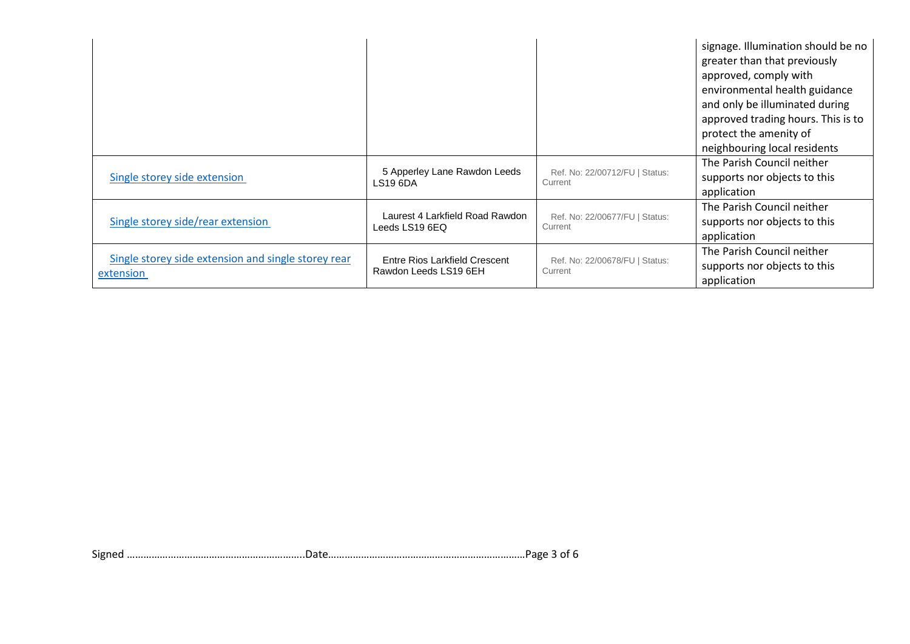|                                                                  |                                                        |                                           | signage. Illumination should be no<br>greater than that previously<br>approved, comply with<br>environmental health guidance<br>and only be illuminated during<br>approved trading hours. This is to<br>protect the amenity of<br>neighbouring local residents |
|------------------------------------------------------------------|--------------------------------------------------------|-------------------------------------------|----------------------------------------------------------------------------------------------------------------------------------------------------------------------------------------------------------------------------------------------------------------|
| Single storey side extension                                     | 5 Apperley Lane Rawdon Leeds<br><b>LS19 6DA</b>        | Ref. No: 22/00712/FU   Status:<br>Current | The Parish Council neither<br>supports nor objects to this<br>application                                                                                                                                                                                      |
| Single storey side/rear extension                                | Laurest 4 Larkfield Road Rawdon<br>Leeds LS19 6EQ      | Ref. No: 22/00677/FU   Status:<br>Current | The Parish Council neither<br>supports nor objects to this<br>application                                                                                                                                                                                      |
| Single storey side extension and single storey rear<br>extension | Entre Rios Larkfield Crescent<br>Rawdon Leeds LS19 6EH | Ref. No: 22/00678/FU   Status:<br>Current | The Parish Council neither<br>supports nor objects to this<br>application                                                                                                                                                                                      |

Signed ………………………………………………………..Date………………………………………………………………Page 3 of 6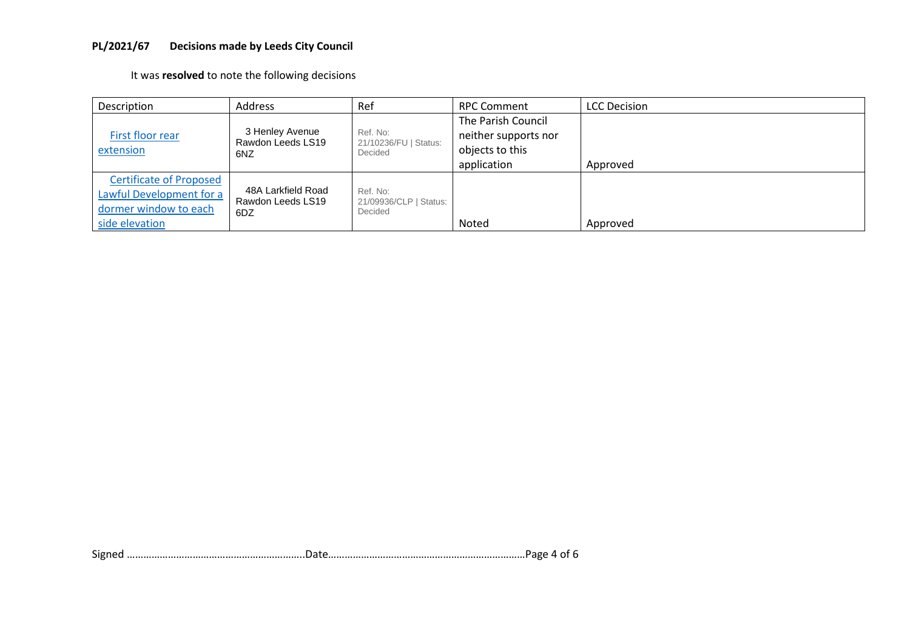# **PL/2021/67 Decisions made by Leeds City Council**

It was **resolved** to note the following decisions

| Description                                                                                           | Address                                        | Ref                                           | RPC Comment                                                                  | <b>LCC Decision</b> |
|-------------------------------------------------------------------------------------------------------|------------------------------------------------|-----------------------------------------------|------------------------------------------------------------------------------|---------------------|
| First floor rear<br>extension                                                                         | 3 Henley Avenue<br>Rawdon Leeds LS19<br>6NZ    | Ref. No:<br>21/10236/FU   Status:<br>Decided  | The Parish Council<br>neither supports nor<br>objects to this<br>application | Approved            |
| <b>Certificate of Proposed</b><br>Lawful Development for a<br>dormer window to each<br>side elevation | 48A Larkfield Road<br>Rawdon Leeds LS19<br>6DZ | Ref. No:<br>21/09936/CLP   Status:<br>Decided | Noted                                                                        | Approved            |

Signed ………………………………………………………..Date………………………………………………………………Page 4 of 6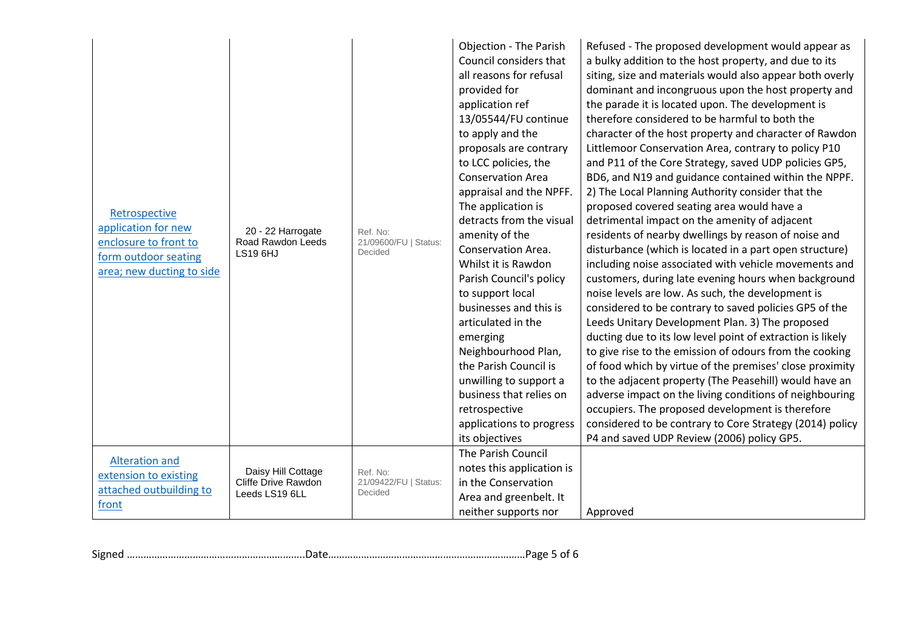| Retrospective<br>application for new<br>enclosure to front to<br>form outdoor seating<br>area; new ducting to side | 20 - 22 Harrogate<br>Road Rawdon Leeds<br><b>LS19 6HJ</b>   | Ref. No:<br>21/09600/FU   Status:<br>Decided | <b>Objection - The Parish</b><br>Council considers that<br>all reasons for refusal<br>provided for<br>application ref<br>13/05544/FU continue<br>to apply and the<br>proposals are contrary<br>to LCC policies, the<br><b>Conservation Area</b><br>appraisal and the NPFF.<br>The application is<br>detracts from the visual<br>amenity of the<br>Conservation Area.<br>Whilst it is Rawdon<br>Parish Council's policy<br>to support local<br>businesses and this is<br>articulated in the<br>emerging<br>Neighbourhood Plan,<br>the Parish Council is<br>unwilling to support a<br>business that relies on<br>retrospective<br>applications to progress<br>its objectives<br>The Parish Council | Refused - The proposed development would appear as<br>a bulky addition to the host property, and due to its<br>siting, size and materials would also appear both overly<br>dominant and incongruous upon the host property and<br>the parade it is located upon. The development is<br>therefore considered to be harmful to both the<br>character of the host property and character of Rawdon<br>Littlemoor Conservation Area, contrary to policy P10<br>and P11 of the Core Strategy, saved UDP policies GP5,<br>BD6, and N19 and guidance contained within the NPPF.<br>2) The Local Planning Authority consider that the<br>proposed covered seating area would have a<br>detrimental impact on the amenity of adjacent<br>residents of nearby dwellings by reason of noise and<br>disturbance (which is located in a part open structure)<br>including noise associated with vehicle movements and<br>customers, during late evening hours when background<br>noise levels are low. As such, the development is<br>considered to be contrary to saved policies GP5 of the<br>Leeds Unitary Development Plan. 3) The proposed<br>ducting due to its low level point of extraction is likely<br>to give rise to the emission of odours from the cooking<br>of food which by virtue of the premises' close proximity<br>to the adjacent property (The Peasehill) would have an<br>adverse impact on the living conditions of neighbouring<br>occupiers. The proposed development is therefore<br>considered to be contrary to Core Strategy (2014) policy<br>P4 and saved UDP Review (2006) policy GP5. |
|--------------------------------------------------------------------------------------------------------------------|-------------------------------------------------------------|----------------------------------------------|--------------------------------------------------------------------------------------------------------------------------------------------------------------------------------------------------------------------------------------------------------------------------------------------------------------------------------------------------------------------------------------------------------------------------------------------------------------------------------------------------------------------------------------------------------------------------------------------------------------------------------------------------------------------------------------------------|------------------------------------------------------------------------------------------------------------------------------------------------------------------------------------------------------------------------------------------------------------------------------------------------------------------------------------------------------------------------------------------------------------------------------------------------------------------------------------------------------------------------------------------------------------------------------------------------------------------------------------------------------------------------------------------------------------------------------------------------------------------------------------------------------------------------------------------------------------------------------------------------------------------------------------------------------------------------------------------------------------------------------------------------------------------------------------------------------------------------------------------------------------------------------------------------------------------------------------------------------------------------------------------------------------------------------------------------------------------------------------------------------------------------------------------------------------------------------------------------------------------------------------------------------------------------------------------------------------|
| <b>Alteration and</b><br>extension to existing<br>attached outbuilding to<br>front                                 | Daisy Hill Cottage<br>Cliffe Drive Rawdon<br>Leeds LS19 6LL | Ref. No:<br>21/09422/FU   Status:<br>Decided | notes this application is<br>in the Conservation<br>Area and greenbelt. It<br>neither supports nor                                                                                                                                                                                                                                                                                                                                                                                                                                                                                                                                                                                               | Approved                                                                                                                                                                                                                                                                                                                                                                                                                                                                                                                                                                                                                                                                                                                                                                                                                                                                                                                                                                                                                                                                                                                                                                                                                                                                                                                                                                                                                                                                                                                                                                                                   |

Signed ………………………………………………………..Date………………………………………………………………Page 5 of 6